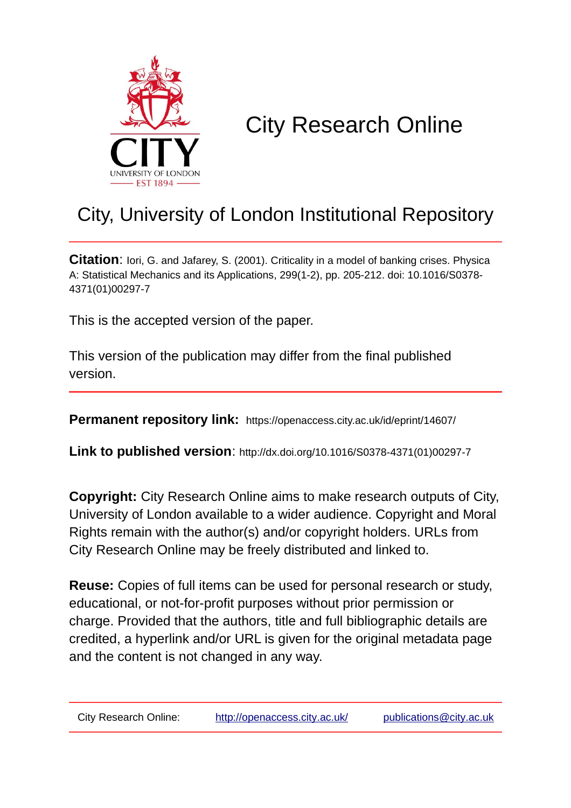

# City Research Online

## City, University of London Institutional Repository

**Citation**: Iori, G. and Jafarey, S. (2001). Criticality in a model of banking crises. Physica A: Statistical Mechanics and its Applications, 299(1-2), pp. 205-212. doi: 10.1016/S0378- 4371(01)00297-7

This is the accepted version of the paper.

This version of the publication may differ from the final published version.

**Permanent repository link:** https://openaccess.city.ac.uk/id/eprint/14607/

**Link to published version**: http://dx.doi.org/10.1016/S0378-4371(01)00297-7

**Copyright:** City Research Online aims to make research outputs of City, University of London available to a wider audience. Copyright and Moral Rights remain with the author(s) and/or copyright holders. URLs from City Research Online may be freely distributed and linked to.

**Reuse:** Copies of full items can be used for personal research or study, educational, or not-for-profit purposes without prior permission or charge. Provided that the authors, title and full bibliographic details are credited, a hyperlink and/or URL is given for the original metadata page and the content is not changed in any way.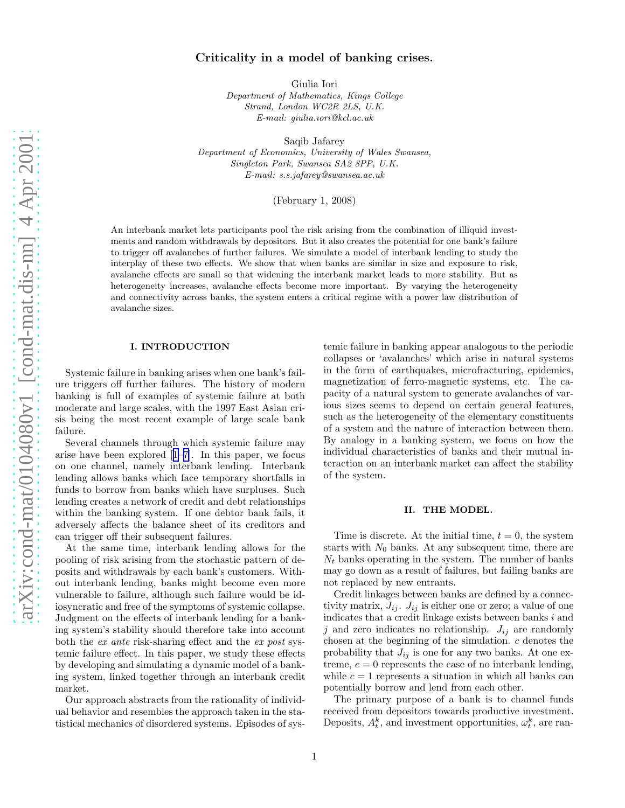### Criticality in a model of banking crises.

Giulia Iori

*Department of Mathematics, Kings College Strand, London WC2R 2LS, U.K. E-mail: giulia.iori@kcl.ac.uk*

Saqib Jafarey

*Department of Economics, University of Wales Swansea, Singleton Park, Swansea SA2 8PP, U.K. E-mail: s.s.jafarey@swansea.ac.uk*

(February 1, 2008)

An interbank market lets participants pool the risk arising from the combination of illiquid investments and random withdrawals by depositors. But it also creates the potential for one bank's failure to trigger off avalanches of further failures. We simulate a model of interbank lending to study the interplay of these two effects. We show that when banks are similar in size and exposure to risk, avalanche effects are small so that widening the interbank market leads to more stability. But as heterogeneity increases, avalanche effects become more important. By varying the heterogeneity and connectivity across banks, the system enters a critical regime with a power law distribution of avalanche sizes.

#### I. INTRODUCTION

Systemic failure in banking arises when one bank's failure triggers off further failures. The history of modern banking is full of examples of systemic failure at both moderate and large scales, with the 1997 East Asian crisis being the most recent example of large scale bank failure.

Several channels through which systemic failure may arisehave been explored  $[1-7]$ . In this paper, we focus on one channel, namely interbank lending. Interbank lending allows banks which face temporary shortfalls in funds to borrow from banks which have surpluses. Such lending creates a network of credit and debt relationships within the banking system. If one debtor bank fails, it adversely affects the balance sheet of its creditors and can trigger off their subsequent failures.

At the same time, interbank lending allows for the pooling of risk arising from the stochastic pattern of deposits and withdrawals by each bank's customers. Without interbank lending, banks might become even more vulnerable to failure, although such failure would be idiosyncratic and free of the symptoms of systemic collapse. Judgment on the effects of interbank lending for a banking system's stability should therefore take into account both the ex ante risk-sharing effect and the ex post systemic failure effect. In this paper, we study these effects by developing and simulating a dynamic model of a banking system, linked together through an interbank credit market.

Our approach abstracts from the rationality of individual behavior and resembles the approach taken in the statistical mechanics of disordered systems. Episodes of sys-

temic failure in banking appear analogous to the periodic collapses or 'avalanches' which arise in natural systems in the form of earthquakes, microfracturing, epidemics, magnetization of ferro-magnetic systems, etc. The capacity of a natural system to generate avalanches of various sizes seems to depend on certain general features, such as the heterogeneity of the elementary constituents of a system and the nature of interaction between them. By analogy in a banking system, we focus on how the individual characteristics of banks and their mutual interaction on an interbank market can affect the stability of the system.

#### II. THE MODEL.

Time is discrete. At the initial time,  $t = 0$ , the system starts with  $N_0$  banks. At any subsequent time, there are  $N_t$  banks operating in the system. The number of banks may go down as a result of failures, but failing banks are not replaced by new entrants.

Credit linkages between banks are defined by a connectivity matrix,  $J_{ij}$ .  $J_{ij}$  is either one or zero; a value of one indicates that a credit linkage exists between banks  $i$  and j and zero indicates no relationship.  $J_{ij}$  are randomly chosen at the beginning of the simulation.  $c$  denotes the probability that  $J_{ij}$  is one for any two banks. At one extreme,  $c = 0$  represents the case of no interbank lending, while  $c = 1$  represents a situation in which all banks can potentially borrow and lend from each other.

The primary purpose of a bank is to channel funds received from depositors towards productive investment. Deposits,  $A_t^k$ , and investment opportunities,  $\omega_t^k$ , are ran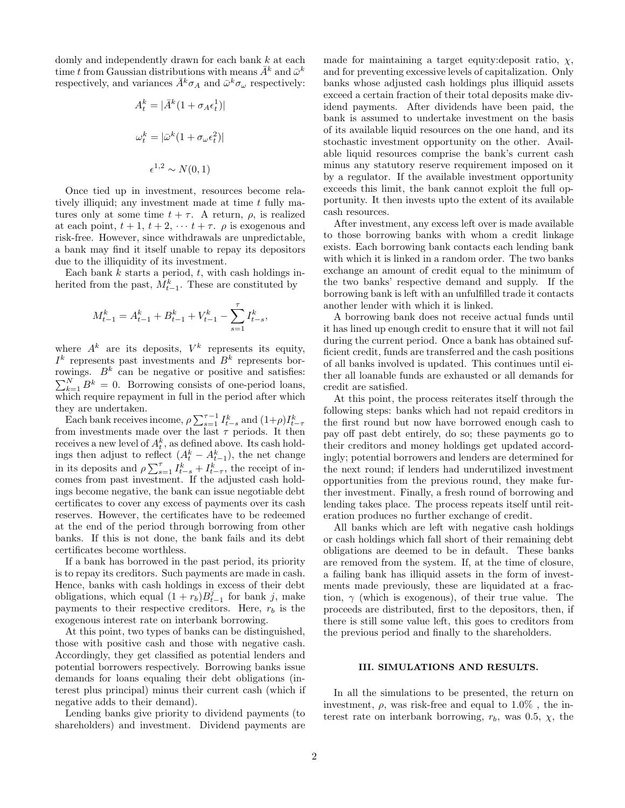domly and independently drawn for each bank k at each time t from Gaussian distributions with means  $\bar{A}^k$  and  $\bar{\omega}^k$ respectively, and variances  $\bar{A}^k \sigma_A$  and  $\bar{\omega}^k \sigma_\omega$  respectively:

$$
A_t^k = |\bar{A}^k (1 + \sigma_A \epsilon_t^1)|
$$
  

$$
\omega_t^k = |\bar{\omega}^k (1 + \sigma_\omega \epsilon_t^2)|
$$
  

$$
\epsilon^{1,2} \sim N(0, 1)
$$

Once tied up in investment, resources become relatively illiquid; any investment made at time  $t$  fully matures only at some time  $t + \tau$ . A return,  $\rho$ , is realized at each point,  $t + 1$ ,  $t + 2$ ,  $\cdots$   $t + \tau$ .  $\rho$  is exogenous and risk-free. However, since withdrawals are unpredictable, a bank may find it itself unable to repay its depositors due to the illiquidity of its investment.

Each bank  $k$  starts a period,  $t$ , with cash holdings inherited from the past,  $M_{t-1}^k$ . These are constituted by

$$
M_{t-1}^k = A_{t-1}^k + B_{t-1}^k + V_{t-1}^k - \sum_{s=1}^\tau I_{t-s}^k,
$$

where  $A^k$  are its deposits,  $V^k$  represents its equity,  $I<sup>k</sup>$  represents past investments and  $B<sup>k</sup>$  represents borrowings.  $B^k$  can be negative or positive and satisfies:  $\sum_{k=1}^{N} B^k = 0$ . Borrowing consists of one-period loans, which require repayment in full in the period after which they are undertaken.

Each bank receives income,  $\rho \sum_{s=1}^{\tau-1} I_{t-s}^k$  and  $(1+\rho)I_{t-\tau}^k$ from investments made over the last  $\tau$  periods. It then receives a new level of  $A_t^k$ , as defined above. Its cash holdings then adjust to reflect  $(A_t^k - A_{t-1}^k)$ , the net change in its deposits and  $\rho \sum_{s=1}^{\tau} I_{t-s}^k + I_{t-\tau}^k$ , the receipt of incomes from past investment. If the adjusted cash holdings become negative, the bank can issue negotiable debt certificates to cover any excess of payments over its cash reserves. However, the certificates have to be redeemed at the end of the period through borrowing from other banks. If this is not done, the bank fails and its debt certificates become worthless.

If a bank has borrowed in the past period, its priority is to repay its creditors. Such payments are made in cash. Hence, banks with cash holdings in excess of their debt obligations, which equal  $(1 + r_b)B_{t-1}^j$  for bank j, make payments to their respective creditors. Here,  $r_b$  is the exogenous interest rate on interbank borrowing.

At this point, two types of banks can be distinguished, those with positive cash and those with negative cash. Accordingly, they get classified as potential lenders and potential borrowers respectively. Borrowing banks issue demands for loans equaling their debt obligations (interest plus principal) minus their current cash (which if negative adds to their demand).

Lending banks give priority to dividend payments (to shareholders) and investment. Dividend payments are made for maintaining a target equity: deposit ratio,  $\chi$ , and for preventing excessive levels of capitalization. Only banks whose adjusted cash holdings plus illiquid assets exceed a certain fraction of their total deposits make dividend payments. After dividends have been paid, the bank is assumed to undertake investment on the basis of its available liquid resources on the one hand, and its stochastic investment opportunity on the other. Available liquid resources comprise the bank's current cash minus any statutory reserve requirement imposed on it by a regulator. If the available investment opportunity exceeds this limit, the bank cannot exploit the full opportunity. It then invests upto the extent of its available cash resources.

After investment, any excess left over is made available to those borrowing banks with whom a credit linkage exists. Each borrowing bank contacts each lending bank with which it is linked in a random order. The two banks exchange an amount of credit equal to the minimum of the two banks' respective demand and supply. If the borrowing bank is left with an unfulfilled trade it contacts another lender with which it is linked.

A borrowing bank does not receive actual funds until it has lined up enough credit to ensure that it will not fail during the current period. Once a bank has obtained sufficient credit, funds are transferred and the cash positions of all banks involved is updated. This continues until either all loanable funds are exhausted or all demands for credit are satisfied.

At this point, the process reiterates itself through the following steps: banks which had not repaid creditors in the first round but now have borrowed enough cash to pay off past debt entirely, do so; these payments go to their creditors and money holdings get updated accordingly; potential borrowers and lenders are determined for the next round; if lenders had underutilized investment opportunities from the previous round, they make further investment. Finally, a fresh round of borrowing and lending takes place. The process repeats itself until reiteration produces no further exchange of credit.

All banks which are left with negative cash holdings or cash holdings which fall short of their remaining debt obligations are deemed to be in default. These banks are removed from the system. If, at the time of closure, a failing bank has illiquid assets in the form of investments made previously, these are liquidated at a fraction,  $\gamma$  (which is exogenous), of their true value. The proceeds are distributed, first to the depositors, then, if there is still some value left, this goes to creditors from the previous period and finally to the shareholders.

#### III. SIMULATIONS AND RESULTS.

In all the simulations to be presented, the return on investment,  $\rho$ , was risk-free and equal to 1.0%, the interest rate on interbank borrowing,  $r_b$ , was 0.5,  $\chi$ , the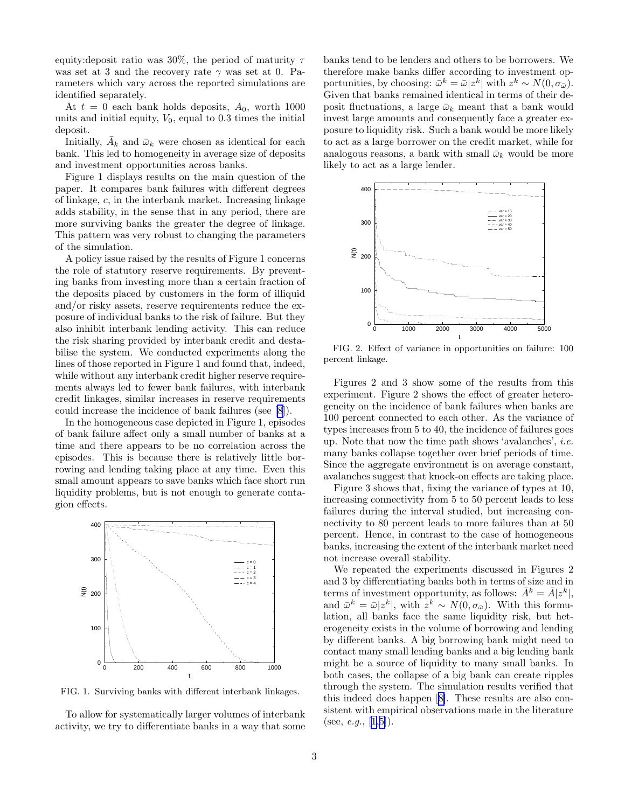equity: deposit ratio was 30%, the period of maturity  $\tau$ was set at 3 and the recovery rate  $\gamma$  was set at 0. Parameters which vary across the reported simulations are identified separately.

At  $t = 0$  each bank holds deposits,  $A_0$ , worth 1000 units and initial equity,  $V_0$ , equal to 0.3 times the initial deposit.

Initially,  $\bar{A}_k$  and  $\bar{\omega}_k$  were chosen as identical for each bank. This led to homogeneity in average size of deposits and investment opportunities across banks.

Figure 1 displays results on the main question of the paper. It compares bank failures with different degrees of linkage, c, in the interbank market. Increasing linkage adds stability, in the sense that in any period, there are more surviving banks the greater the degree of linkage. This pattern was very robust to changing the parameters of the simulation.

A policy issue raised by the results of Figure 1 concerns the role of statutory reserve requirements. By preventing banks from investing more than a certain fraction of the deposits placed by customers in the form of illiquid and/or risky assets, reserve requirements reduce the exposure of individual banks to the risk of failure. But they also inhibit interbank lending activity. This can reduce the risk sharing provided by interbank credit and destabilise the system. We conducted experiments along the lines of those reported in Figure 1 and found that, indeed, while without any interbank credit higher reserve requirements always led to fewer bank failures, with interbank credit linkages, similar increases in reserve requirements could increase the incidence of bank failures (see [\[8](#page-4-0)]).

In the homogeneous case depicted in Figure 1, episodes of bank failure affect only a small number of banks at a time and there appears to be no correlation across the episodes. This is because there is relatively little borrowing and lending taking place at any time. Even this small amount appears to save banks which face short run liquidity problems, but is not enough to generate contagion effects.



FIG. 1. Surviving banks with different interbank linkages.

To allow for systematically larger volumes of interbank activity, we try to differentiate banks in a way that some

banks tend to be lenders and others to be borrowers. We therefore make banks differ according to investment opportunities, by choosing:  $\bar{\omega}^k = \bar{\omega} |z^k|$  with  $z^k \sim N(0, \sigma_{\bar{\omega}})$ . Given that banks remained identical in terms of their deposit fluctuations, a large  $\bar{\omega}_k$  meant that a bank would invest large amounts and consequently face a greater exposure to liquidity risk. Such a bank would be more likely to act as a large borrower on the credit market, while for analogous reasons, a bank with small  $\bar{\omega}_k$  would be more likely to act as a large lender.



FIG. 2. Effect of variance in opportunities on failure: 100 percent linkage.

Figures 2 and 3 show some of the results from this experiment. Figure 2 shows the effect of greater heterogeneity on the incidence of bank failures when banks are 100 percent connected to each other. As the variance of types increases from 5 to 40, the incidence of failures goes up. Note that now the time path shows 'avalanches', i.e. many banks collapse together over brief periods of time. Since the aggregate environment is on average constant, avalanches suggest that knock-on effects are taking place.

Figure 3 shows that, fixing the variance of types at 10, increasing connectivity from 5 to 50 percent leads to less failures during the interval studied, but increasing connectivity to 80 percent leads to more failures than at 50 percent. Hence, in contrast to the case of homogeneous banks, increasing the extent of the interbank market need not increase overall stability.

We repeated the experiments discussed in Figures 2 and 3 by differentiating banks both in terms of size and in terms of investment opportunity, as follows:  $\bar{A}^k = \bar{A} | z^k |$ , and  $\bar{\omega}^k = \bar{\omega} |z^k|$ , with  $z^k \sim N(0, \sigma_{\bar{\omega}})$ . With this formulation, all banks face the same liquidity risk, but heterogeneity exists in the volume of borrowing and lending by different banks. A big borrowing bank might need to contact many small lending banks and a big lending bank might be a source of liquidity to many small banks. In both cases, the collapse of a big bank can create ripples through the system. The simulation results verified that this indeed does happen[[8\]](#page-4-0). These results are also consistent with empirical observations made in the literature (see,*e.g.*, [[1,5\]](#page-4-0)).